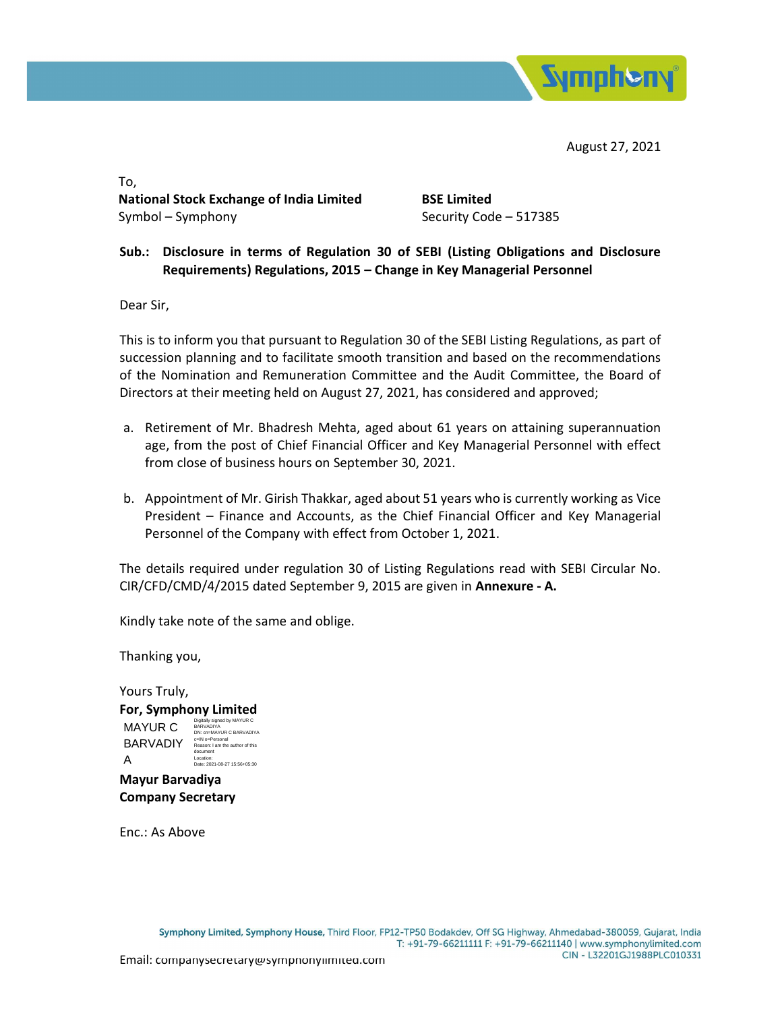

August 27, 2021

To, National Stock Exchange of India Limited BSE Limited Symbol – Symphony Security Code – 517385

## Sub.: Disclosure in terms of Regulation 30 of SEBI (Listing Obligations and Disclosure Requirements) Regulations, 2015 – Change in Key Managerial Personnel

Dear Sir,

This is to inform you that pursuant to Regulation 30 of the SEBI Listing Regulations, as part of succession planning and to facilitate smooth transition and based on the recommendations of the Nomination and Remuneration Committee and the Audit Committee, the Board of Directors at their meeting held on August 27, 2021, has considered and approved;

- a. Retirement of Mr. Bhadresh Mehta, aged about 61 years on attaining superannuation age, from the post of Chief Financial Officer and Key Managerial Personnel with effect from close of business hours on September 30, 2021.
- b. Appointment of Mr. Girish Thakkar, aged about 51 years who is currently working as Vice President – Finance and Accounts, as the Chief Financial Officer and Key Managerial Personnel of the Company with effect from October 1, 2021.

The details required under regulation 30 of Listing Regulations read with SEBI Circular No. CIR/CFD/CMD/4/2015 dated September 9, 2015 are given in Annexure - A.

Kindly take note of the same and oblige.

Thanking you,

Yours Truly, For, Symphony Limited Mayur Barvadiya MAYUR C BARVADIY Reason: I am the author of this A Digitally signed by MAYUR C BARVADIYA DN: cn=MAYUR C BARVADIYA document Location: Date: 2021-08-27 15:56+05:30

Company Secretary

Enc.: As Above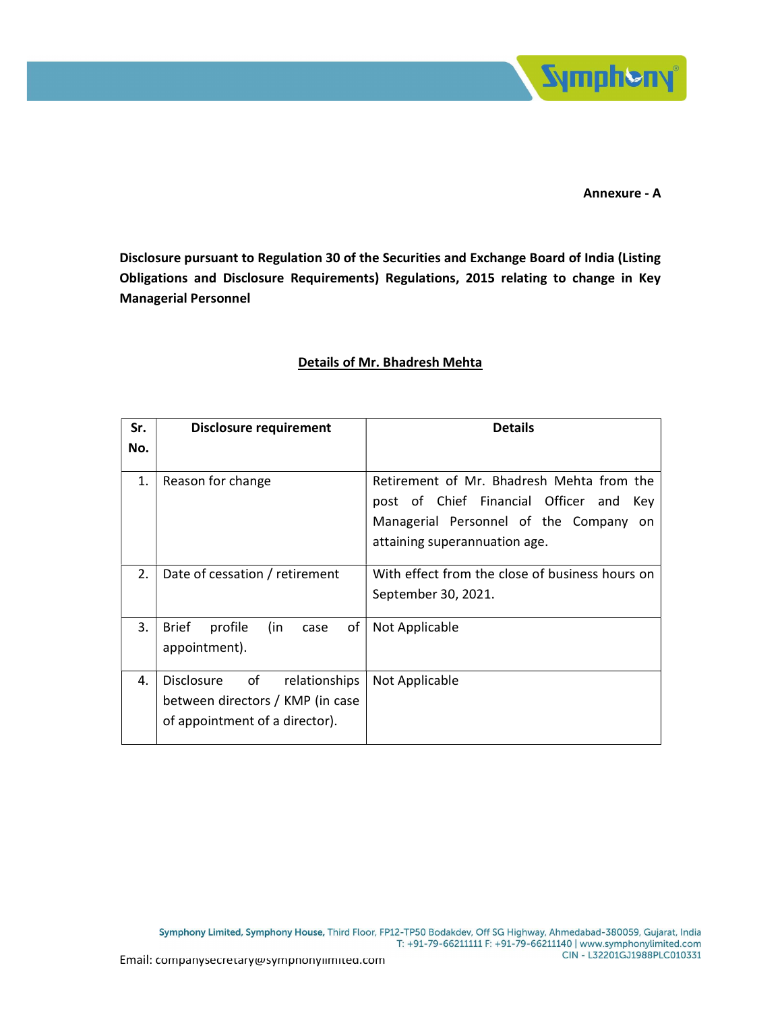

Annexure - A

Disclosure pursuant to Regulation 30 of the Securities and Exchange Board of India (Listing Obligations and Disclosure Requirements) Regulations, 2015 relating to change in Key Managerial Personnel

| Sr. | <b>Disclosure requirement</b>                                                                                  | <b>Details</b>                                                                                                                                                        |
|-----|----------------------------------------------------------------------------------------------------------------|-----------------------------------------------------------------------------------------------------------------------------------------------------------------------|
| No. |                                                                                                                |                                                                                                                                                                       |
| 1.  | Reason for change                                                                                              | Retirement of Mr. Bhadresh Mehta from the<br>post of Chief Financial Officer and<br>Key<br>Managerial Personnel of the Company<br>on<br>attaining superannuation age. |
| 2.  | Date of cessation / retirement                                                                                 | With effect from the close of business hours on                                                                                                                       |
|     |                                                                                                                | September 30, 2021.                                                                                                                                                   |
| 3.  | <b>Brief</b><br>profile<br>(in<br>οf<br>case<br>appointment).                                                  | Not Applicable                                                                                                                                                        |
| 4.  | of<br><b>Disclosure</b><br>relationships<br>between directors / KMP (in case<br>of appointment of a director). | Not Applicable                                                                                                                                                        |

## Details of Mr. Bhadresh Mehta